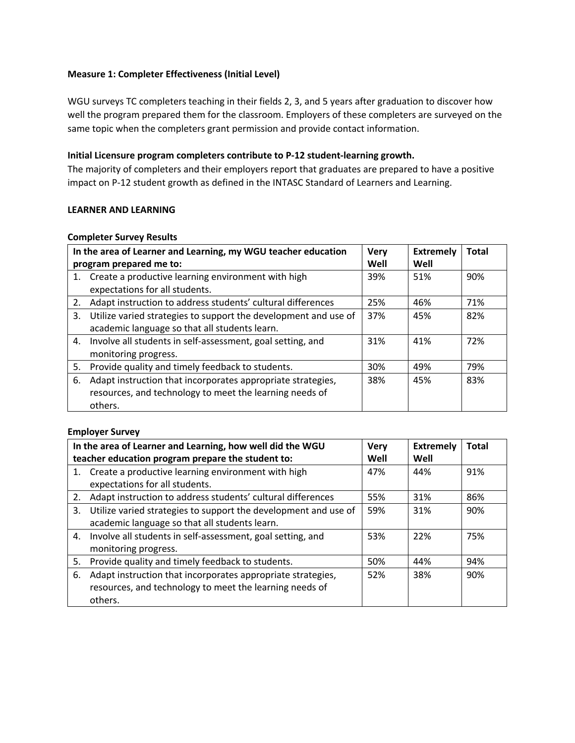## **Measure 1: Completer Effectiveness (Initial Level)**

WGU surveys TC completers teaching in their fields 2, 3, and 5 years after graduation to discover how well the program prepared them for the classroom. Employers of these completers are surveyed on the same topic when the completers grant permission and provide contact information.

## **Initial Licensure program completers contribute to P-12 student-learning growth.**

The majority of completers and their employers report that graduates are prepared to have a positive impact on P-12 student growth as defined in the INTASC Standard of Learners and Learning.

## **LEARNER AND LEARNING**

#### **Completer Survey Results**

|    | In the area of Learner and Learning, my WGU teacher education<br>program prepared me to:                                          | <b>Very</b><br>Well | <b>Extremely</b><br>Well | <b>Total</b> |
|----|-----------------------------------------------------------------------------------------------------------------------------------|---------------------|--------------------------|--------------|
|    | 1. Create a productive learning environment with high<br>expectations for all students.                                           | 39%                 | 51%                      | 90%          |
| 2. | Adapt instruction to address students' cultural differences                                                                       | 25%                 | 46%                      | 71%          |
| 3. | Utilize varied strategies to support the development and use of<br>academic language so that all students learn.                  | 37%                 | 45%                      | 82%          |
| 4. | Involve all students in self-assessment, goal setting, and<br>monitoring progress.                                                | 31%                 | 41%                      | 72%          |
| 5. | Provide quality and timely feedback to students.                                                                                  | 30%                 | 49%                      | 79%          |
| 6. | Adapt instruction that incorporates appropriate strategies,<br>resources, and technology to meet the learning needs of<br>others. | 38%                 | 45%                      | 83%          |

## **Employer Survey**

|    | In the area of Learner and Learning, how well did the WGU       | <b>Very</b> | <b>Extremely</b> | Total |
|----|-----------------------------------------------------------------|-------------|------------------|-------|
|    | teacher education program prepare the student to:               |             | Well             |       |
|    | 1. Create a productive learning environment with high           | 47%         | 44%              | 91%   |
|    | expectations for all students.                                  |             |                  |       |
| 2. | Adapt instruction to address students' cultural differences     | 55%         | 31%              | 86%   |
| 3. | Utilize varied strategies to support the development and use of | 59%         | 31%              | 90%   |
|    | academic language so that all students learn.                   |             |                  |       |
| 4. | Involve all students in self-assessment, goal setting, and      | 53%         | 22%              | 75%   |
|    | monitoring progress.                                            |             |                  |       |
| 5. | Provide quality and timely feedback to students.                | 50%         | 44%              | 94%   |
| 6. | Adapt instruction that incorporates appropriate strategies,     | 52%         | 38%              | 90%   |
|    | resources, and technology to meet the learning needs of         |             |                  |       |
|    | others.                                                         |             |                  |       |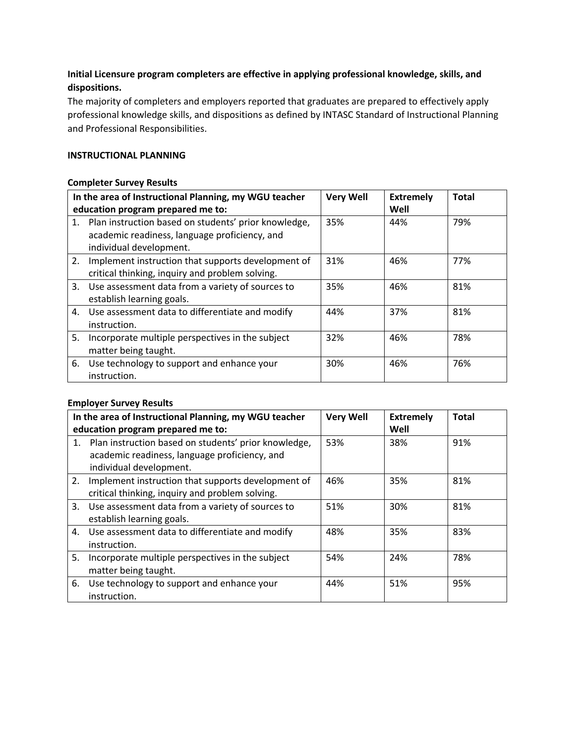# **Initial Licensure program completers are effective in applying professional knowledge, skills, and dispositions.**

The majority of completers and employers reported that graduates are prepared to effectively apply professional knowledge skills, and dispositions as defined by INTASC Standard of Instructional Planning and Professional Responsibilities.

## **INSTRUCTIONAL PLANNING**

## **Completer Survey Results**

|    | In the area of Instructional Planning, my WGU teacher<br>education program prepared me to:                                          | <b>Very Well</b> | <b>Extremely</b><br>Well | <b>Total</b> |
|----|-------------------------------------------------------------------------------------------------------------------------------------|------------------|--------------------------|--------------|
|    | 1. Plan instruction based on students' prior knowledge,<br>academic readiness, language proficiency, and<br>individual development. | 35%              | 44%                      | 79%          |
| 2. | Implement instruction that supports development of<br>critical thinking, inquiry and problem solving.                               | 31%              | 46%                      | 77%          |
|    | 3. Use assessment data from a variety of sources to<br>establish learning goals.                                                    | 35%              | 46%                      | 81%          |
|    | 4. Use assessment data to differentiate and modify<br>instruction.                                                                  | 44%              | 37%                      | 81%          |
| 5. | Incorporate multiple perspectives in the subject<br>matter being taught.                                                            | 32%              | 46%                      | 78%          |
|    | 6. Use technology to support and enhance your<br>instruction.                                                                       | 30%              | 46%                      | 76%          |

## **Employer Survey Results**

|    | In the area of Instructional Planning, my WGU teacher<br>education program prepared me to:                                          | <b>Very Well</b> | <b>Extremely</b><br>Well | <b>Total</b> |
|----|-------------------------------------------------------------------------------------------------------------------------------------|------------------|--------------------------|--------------|
|    | 1. Plan instruction based on students' prior knowledge,<br>academic readiness, language proficiency, and<br>individual development. | 53%              | 38%                      | 91%          |
| 2. | Implement instruction that supports development of<br>critical thinking, inquiry and problem solving.                               | 46%              | 35%                      | 81%          |
|    | 3. Use assessment data from a variety of sources to<br>establish learning goals.                                                    | 51%              | 30%                      | 81%          |
|    | 4. Use assessment data to differentiate and modify<br>instruction.                                                                  | 48%              | 35%                      | 83%          |
| 5. | Incorporate multiple perspectives in the subject<br>matter being taught.                                                            | 54%              | 24%                      | 78%          |
|    | 6. Use technology to support and enhance your<br>instruction.                                                                       | 44%              | 51%                      | 95%          |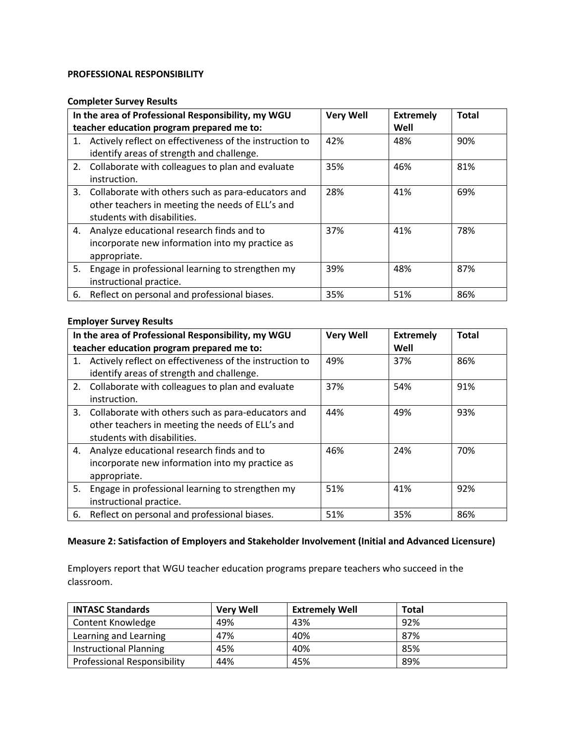#### **PROFESSIONAL RESPONSIBILITY**

#### **Completer Survey Results**

|    | In the area of Professional Responsibility, my WGU<br>teacher education program prepared me to:                                          | <b>Very Well</b> | <b>Extremely</b><br>Well | <b>Total</b> |
|----|------------------------------------------------------------------------------------------------------------------------------------------|------------------|--------------------------|--------------|
|    | 1. Actively reflect on effectiveness of the instruction to<br>identify areas of strength and challenge.                                  | 42%              | 48%                      | 90%          |
|    | 2. Collaborate with colleagues to plan and evaluate<br>instruction.                                                                      | 35%              | 46%                      | 81%          |
|    | 3. Collaborate with others such as para-educators and<br>other teachers in meeting the needs of ELL's and<br>students with disabilities. | 28%              | 41%                      | 69%          |
|    | 4. Analyze educational research finds and to<br>incorporate new information into my practice as<br>appropriate.                          | 37%              | 41%                      | 78%          |
| 5. | Engage in professional learning to strengthen my<br>instructional practice.                                                              | 39%              | 48%                      | 87%          |
|    | 6. Reflect on personal and professional biases.                                                                                          | 35%              | 51%                      | 86%          |

## **Employer Survey Results**

|    | In the area of Professional Responsibility, my WGU<br>teacher education program prepared me to:                                          | <b>Very Well</b> | <b>Extremely</b><br>Well | <b>Total</b> |
|----|------------------------------------------------------------------------------------------------------------------------------------------|------------------|--------------------------|--------------|
|    | 1. Actively reflect on effectiveness of the instruction to<br>identify areas of strength and challenge.                                  | 49%              | 37%                      | 86%          |
|    | 2. Collaborate with colleagues to plan and evaluate<br>instruction.                                                                      | 37%              | 54%                      | 91%          |
|    | 3. Collaborate with others such as para-educators and<br>other teachers in meeting the needs of ELL's and<br>students with disabilities. | 44%              | 49%                      | 93%          |
| 4. | Analyze educational research finds and to<br>incorporate new information into my practice as<br>appropriate.                             | 46%              | 24%                      | 70%          |
| 5. | Engage in professional learning to strengthen my<br>instructional practice.                                                              | 51%              | 41%                      | 92%          |
|    | 6. Reflect on personal and professional biases.                                                                                          | 51%              | 35%                      | 86%          |

# **Measure 2: Satisfaction of Employers and Stakeholder Involvement (Initial and Advanced Licensure)**

Employers report that WGU teacher education programs prepare teachers who succeed in the classroom.

| <b>INTASC Standards</b>            | <b>Very Well</b> | <b>Extremely Well</b> | <b>Total</b> |
|------------------------------------|------------------|-----------------------|--------------|
| Content Knowledge                  | 49%              | 43%                   | 92%          |
| Learning and Learning              | 47%              | 40%                   | 87%          |
| <b>Instructional Planning</b>      | 45%              | 40%                   | 85%          |
| <b>Professional Responsibility</b> | 44%              | 45%                   | 89%          |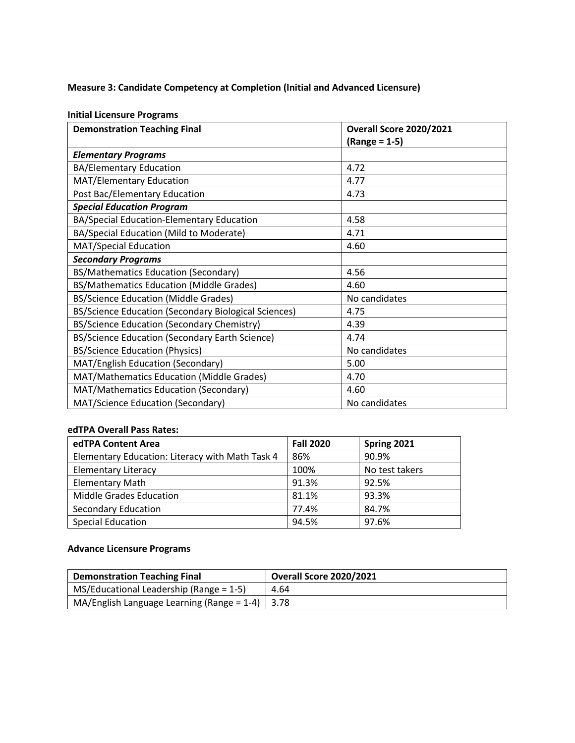# **Measure 3: Candidate Competency at Completion (Initial and Advanced Licensure)**

#### **Initial Licensure Programs**

| <b>Demonstration Teaching Final</b>                  | <b>Overall Score 2020/2021</b> |
|------------------------------------------------------|--------------------------------|
|                                                      | $(Range = 1-5)$                |
| <b>Elementary Programs</b>                           |                                |
| <b>BA/Elementary Education</b>                       | 4.72                           |
| MAT/Elementary Education                             | 4.77                           |
| Post Bac/Elementary Education                        | 4.73                           |
| <b>Special Education Program</b>                     |                                |
| BA/Special Education-Elementary Education            | 4.58                           |
| BA/Special Education (Mild to Moderate)              | 4.71                           |
| <b>MAT/Special Education</b>                         | 4.60                           |
| <b>Secondary Programs</b>                            |                                |
| BS/Mathematics Education (Secondary)                 | 4.56                           |
| BS/Mathematics Education (Middle Grades)             | 4.60                           |
| <b>BS/Science Education (Middle Grades)</b>          | No candidates                  |
| BS/Science Education (Secondary Biological Sciences) | 4.75                           |
| BS/Science Education (Secondary Chemistry)           | 4.39                           |
| BS/Science Education (Secondary Earth Science)       | 4.74                           |
| <b>BS/Science Education (Physics)</b>                | No candidates                  |
| MAT/English Education (Secondary)                    | 5.00                           |
| MAT/Mathematics Education (Middle Grades)            | 4.70                           |
| MAT/Mathematics Education (Secondary)                | 4.60                           |
| MAT/Science Education (Secondary)                    | No candidates                  |

## **edTPA Overall Pass Rates:**

| edTPA Content Area                              | <b>Fall 2020</b> | Spring 2021    |
|-------------------------------------------------|------------------|----------------|
| Elementary Education: Literacy with Math Task 4 | 86%              | 90.9%          |
| <b>Elementary Literacy</b>                      | 100%             | No test takers |
| <b>Elementary Math</b>                          | 91.3%            | 92.5%          |
| <b>Middle Grades Education</b>                  | 81.1%            | 93.3%          |
| Secondary Education                             | 77.4%            | 84.7%          |
| <b>Special Education</b>                        | 94.5%            | 97.6%          |

# **Advance Licensure Programs**

| <b>Demonstration Teaching Final</b>                  | <b>Overall Score 2020/2021</b> |
|------------------------------------------------------|--------------------------------|
| $MS/Educational$ Leadership (Range = 1-5)            | 4.64                           |
| MA/English Language Learning (Range = $1-4$ )   3.78 |                                |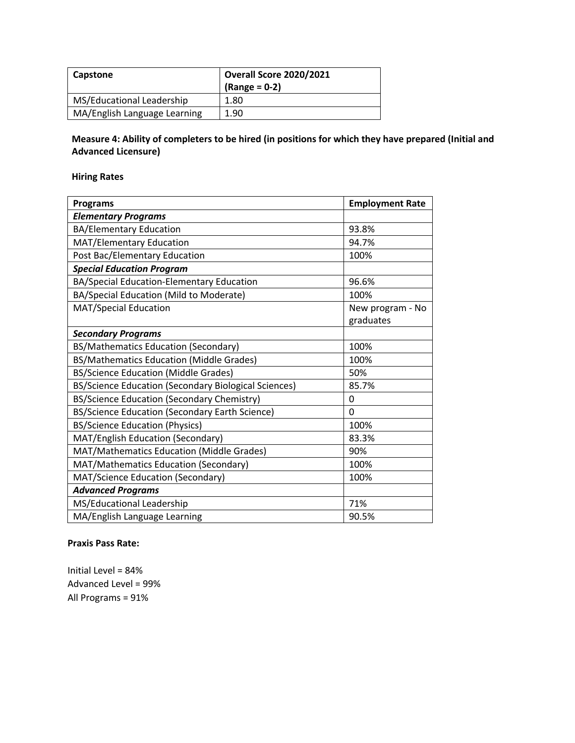| Capstone                     | <b>Overall Score 2020/2021</b><br>$(Range = 0-2)$ |
|------------------------------|---------------------------------------------------|
| MS/Educational Leadership    | 1.80                                              |
| MA/English Language Learning | 1.90                                              |

# **Measure 4: Ability of completers to be hired (in positions for which they have prepared (Initial and Advanced Licensure)**

# **Hiring Rates**

| <b>Programs</b>                                      | <b>Employment Rate</b> |
|------------------------------------------------------|------------------------|
| <b>Elementary Programs</b>                           |                        |
| <b>BA/Elementary Education</b>                       | 93.8%                  |
| MAT/Elementary Education                             | 94.7%                  |
| Post Bac/Elementary Education                        | 100%                   |
| <b>Special Education Program</b>                     |                        |
| BA/Special Education-Elementary Education            | 96.6%                  |
| BA/Special Education (Mild to Moderate)              | 100%                   |
| <b>MAT/Special Education</b>                         | New program - No       |
|                                                      | graduates              |
| <b>Secondary Programs</b>                            |                        |
| BS/Mathematics Education (Secondary)                 | 100%                   |
| BS/Mathematics Education (Middle Grades)             | 100%                   |
| <b>BS/Science Education (Middle Grades)</b>          | 50%                    |
| BS/Science Education (Secondary Biological Sciences) | 85.7%                  |
| BS/Science Education (Secondary Chemistry)           | 0                      |
| BS/Science Education (Secondary Earth Science)       | $\Omega$               |
| <b>BS/Science Education (Physics)</b>                | 100%                   |
| MAT/English Education (Secondary)                    | 83.3%                  |
| MAT/Mathematics Education (Middle Grades)            | 90%                    |
| MAT/Mathematics Education (Secondary)                | 100%                   |
| MAT/Science Education (Secondary)                    | 100%                   |
| <b>Advanced Programs</b>                             |                        |
| MS/Educational Leadership                            | 71%                    |
| MA/English Language Learning                         | 90.5%                  |

#### **Praxis Pass Rate:**

Initial Level = 84% Advanced Level = 99% All Programs = 91%